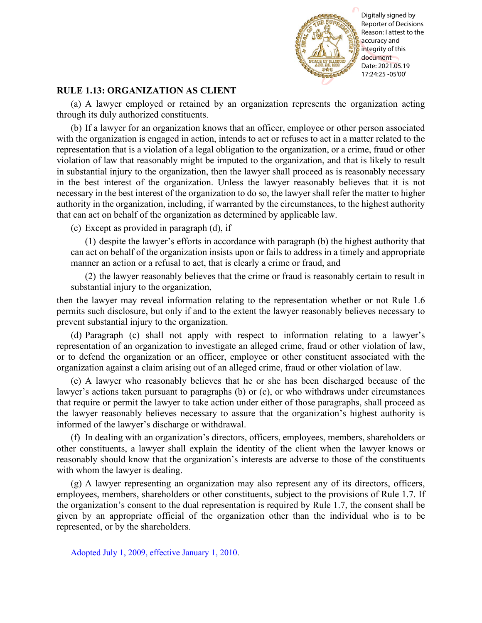

# **RULE 1.13: ORGANIZATION AS CLIENT**

(a) A lawyer employed or retained by an organization represents the organization acting through its duly authorized constituents.

(b) If a lawyer for an organization knows that an officer, employee or other person associated with the organization is engaged in action, intends to act or refuses to act in a matter related to the representation that is a violation of a legal obligation to the organization, or a crime, fraud or other violation of law that reasonably might be imputed to the organization, and that is likely to result in substantial injury to the organization, then the lawyer shall proceed as is reasonably necessary in the best interest of the organization. Unless the lawyer reasonably believes that it is not necessary in the best interest of the organization to do so, the lawyer shall refer the matter to higher authority in the organization, including, if warranted by the circumstances, to the highest authority that can act on behalf of the organization as determined by applicable law.

(c) Except as provided in paragraph (d), if

(1) despite the lawyer's efforts in accordance with paragraph (b) the highest authority that can act on behalf of the organization insists upon or fails to address in a timely and appropriate manner an action or a refusal to act, that is clearly a crime or fraud, and

(2) the lawyer reasonably believes that the crime or fraud is reasonably certain to result in substantial injury to the organization,

then the lawyer may reveal information relating to the representation whether or not Rule 1.6 permits such disclosure, but only if and to the extent the lawyer reasonably believes necessary to prevent substantial injury to the organization.

(d) Paragraph (c) shall not apply with respect to information relating to a lawyer's representation of an organization to investigate an alleged crime, fraud or other violation of law, or to defend the organization or an officer, employee or other constituent associated with the organization against a claim arising out of an alleged crime, fraud or other violation of law.

(e) A lawyer who reasonably believes that he or she has been discharged because of the lawyer's actions taken pursuant to paragraphs (b) or (c), or who withdraws under circumstances that require or permit the lawyer to take action under either of those paragraphs, shall proceed as the lawyer reasonably believes necessary to assure that the organization's highest authority is informed of the lawyer's discharge or withdrawal.

(f) In dealing with an organization's directors, officers, employees, members, shareholders or other constituents, a lawyer shall explain the identity of the client when the lawyer knows or reasonably should know that the organization's interests are adverse to those of the constituents with whom the lawyer is dealing.

(g) A lawyer representing an organization may also represent any of its directors, officers, employees, members, shareholders or other constituents, subject to the provisions of Rule 1.7. If the organization's consent to the dual representation is required by Rule 1.7, the consent shall be given by an appropriate official of the organization other than the individual who is to be represented, or by the shareholders.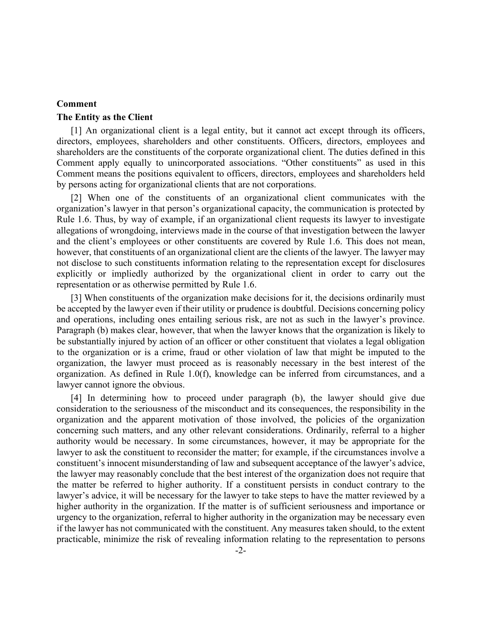#### **Comment**

# **The Entity as the Client**

[1] An organizational client is a legal entity, but it cannot act except through its officers, directors, employees, shareholders and other constituents. Officers, directors, employees and shareholders are the constituents of the corporate organizational client. The duties defined in this Comment apply equally to unincorporated associations. "Other constituents" as used in this Comment means the positions equivalent to officers, directors, employees and shareholders held by persons acting for organizational clients that are not corporations.

[2] When one of the constituents of an organizational client communicates with the organization's lawyer in that person's organizational capacity, the communication is protected by Rule 1.6. Thus, by way of example, if an organizational client requests its lawyer to investigate allegations of wrongdoing, interviews made in the course of that investigation between the lawyer and the client's employees or other constituents are covered by Rule 1.6. This does not mean, however, that constituents of an organizational client are the clients of the lawyer. The lawyer may not disclose to such constituents information relating to the representation except for disclosures explicitly or impliedly authorized by the organizational client in order to carry out the representation or as otherwise permitted by Rule 1.6.

[3] When constituents of the organization make decisions for it, the decisions ordinarily must be accepted by the lawyer even if their utility or prudence is doubtful. Decisions concerning policy and operations, including ones entailing serious risk, are not as such in the lawyer's province. Paragraph (b) makes clear, however, that when the lawyer knows that the organization is likely to be substantially injured by action of an officer or other constituent that violates a legal obligation to the organization or is a crime, fraud or other violation of law that might be imputed to the organization, the lawyer must proceed as is reasonably necessary in the best interest of the organization. As defined in Rule 1.0(f), knowledge can be inferred from circumstances, and a lawyer cannot ignore the obvious.

[4] In determining how to proceed under paragraph (b), the lawyer should give due consideration to the seriousness of the misconduct and its consequences, the responsibility in the organization and the apparent motivation of those involved, the policies of the organization concerning such matters, and any other relevant considerations. Ordinarily, referral to a higher authority would be necessary. In some circumstances, however, it may be appropriate for the lawyer to ask the constituent to reconsider the matter; for example, if the circumstances involve a constituent's innocent misunderstanding of law and subsequent acceptance of the lawyer's advice, the lawyer may reasonably conclude that the best interest of the organization does not require that the matter be referred to higher authority. If a constituent persists in conduct contrary to the lawyer's advice, it will be necessary for the lawyer to take steps to have the matter reviewed by a higher authority in the organization. If the matter is of sufficient seriousness and importance or urgency to the organization, referral to higher authority in the organization may be necessary even if the lawyer has not communicated with the constituent. Any measures taken should, to the extent practicable, minimize the risk of revealing information relating to the representation to persons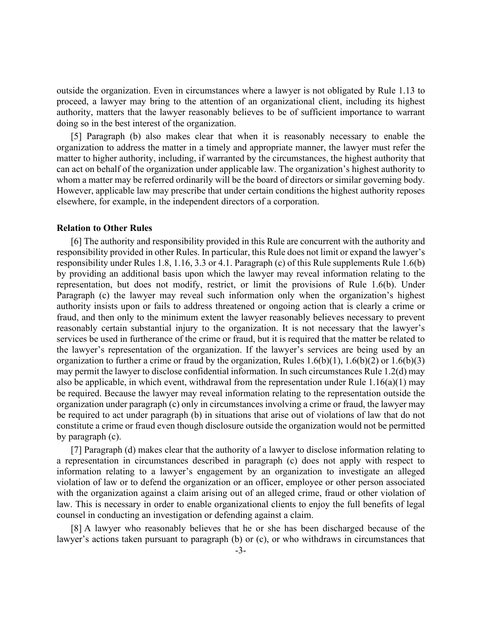outside the organization. Even in circumstances where a lawyer is not obligated by Rule 1.13 to proceed, a lawyer may bring to the attention of an organizational client, including its highest authority, matters that the lawyer reasonably believes to be of sufficient importance to warrant doing so in the best interest of the organization.

[5] Paragraph (b) also makes clear that when it is reasonably necessary to enable the organization to address the matter in a timely and appropriate manner, the lawyer must refer the matter to higher authority, including, if warranted by the circumstances, the highest authority that can act on behalf of the organization under applicable law. The organization's highest authority to whom a matter may be referred ordinarily will be the board of directors or similar governing body. However, applicable law may prescribe that under certain conditions the highest authority reposes elsewhere, for example, in the independent directors of a corporation.

#### **Relation to Other Rules**

[6] The authority and responsibility provided in this Rule are concurrent with the authority and responsibility provided in other Rules. In particular, this Rule does not limit or expand the lawyer's responsibility under Rules 1.8, 1.16, 3.3 or 4.1. Paragraph (c) of this Rule supplements Rule 1.6(b) by providing an additional basis upon which the lawyer may reveal information relating to the representation, but does not modify, restrict, or limit the provisions of Rule 1.6(b). Under Paragraph (c) the lawyer may reveal such information only when the organization's highest authority insists upon or fails to address threatened or ongoing action that is clearly a crime or fraud, and then only to the minimum extent the lawyer reasonably believes necessary to prevent reasonably certain substantial injury to the organization. It is not necessary that the lawyer's services be used in furtherance of the crime or fraud, but it is required that the matter be related to the lawyer's representation of the organization. If the lawyer's services are being used by an organization to further a crime or fraud by the organization, Rules  $1.6(b)(1)$ ,  $1.6(b)(2)$  or  $1.6(b)(3)$ may permit the lawyer to disclose confidential information. In such circumstances Rule 1.2(d) may also be applicable, in which event, withdrawal from the representation under Rule 1.16(a)(1) may be required. Because the lawyer may reveal information relating to the representation outside the organization under paragraph (c) only in circumstances involving a crime or fraud, the lawyer may be required to act under paragraph (b) in situations that arise out of violations of law that do not constitute a crime or fraud even though disclosure outside the organization would not be permitted by paragraph (c).

[7] Paragraph (d) makes clear that the authority of a lawyer to disclose information relating to a representation in circumstances described in paragraph (c) does not apply with respect to information relating to a lawyer's engagement by an organization to investigate an alleged violation of law or to defend the organization or an officer, employee or other person associated with the organization against a claim arising out of an alleged crime, fraud or other violation of law. This is necessary in order to enable organizational clients to enjoy the full benefits of legal counsel in conducting an investigation or defending against a claim.

[8] A lawyer who reasonably believes that he or she has been discharged because of the lawyer's actions taken pursuant to paragraph (b) or (c), or who withdraws in circumstances that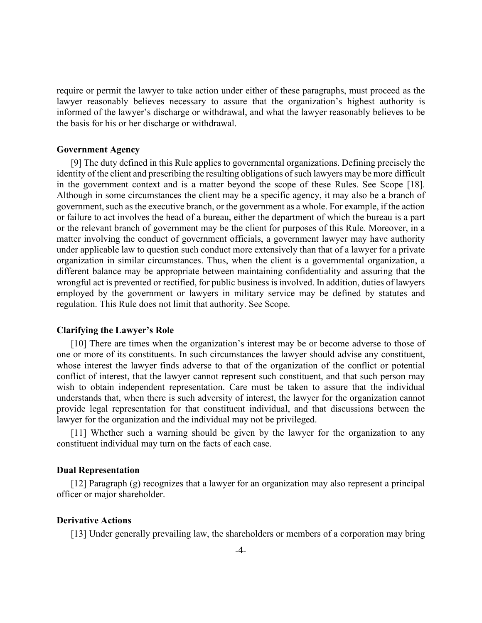require or permit the lawyer to take action under either of these paragraphs, must proceed as the lawyer reasonably believes necessary to assure that the organization's highest authority is informed of the lawyer's discharge or withdrawal, and what the lawyer reasonably believes to be the basis for his or her discharge or withdrawal.

## **Government Agency**

[9] The duty defined in this Rule applies to governmental organizations. Defining precisely the identity of the client and prescribing the resulting obligations of such lawyers may be more difficult in the government context and is a matter beyond the scope of these Rules. See Scope [18]. Although in some circumstances the client may be a specific agency, it may also be a branch of government, such as the executive branch, or the government as a whole. For example, if the action or failure to act involves the head of a bureau, either the department of which the bureau is a part or the relevant branch of government may be the client for purposes of this Rule. Moreover, in a matter involving the conduct of government officials, a government lawyer may have authority under applicable law to question such conduct more extensively than that of a lawyer for a private organization in similar circumstances. Thus, when the client is a governmental organization, a different balance may be appropriate between maintaining confidentiality and assuring that the wrongful act is prevented or rectified, for public business is involved. In addition, duties of lawyers employed by the government or lawyers in military service may be defined by statutes and regulation. This Rule does not limit that authority. See Scope.

#### **Clarifying the Lawyer's Role**

[10] There are times when the organization's interest may be or become adverse to those of one or more of its constituents. In such circumstances the lawyer should advise any constituent, whose interest the lawyer finds adverse to that of the organization of the conflict or potential conflict of interest, that the lawyer cannot represent such constituent, and that such person may wish to obtain independent representation. Care must be taken to assure that the individual understands that, when there is such adversity of interest, the lawyer for the organization cannot provide legal representation for that constituent individual, and that discussions between the lawyer for the organization and the individual may not be privileged.

[11] Whether such a warning should be given by the lawyer for the organization to any constituent individual may turn on the facts of each case.

## **Dual Representation**

[12] Paragraph (g) recognizes that a lawyer for an organization may also represent a principal officer or major shareholder.

## **Derivative Actions**

[13] Under generally prevailing law, the shareholders or members of a corporation may bring